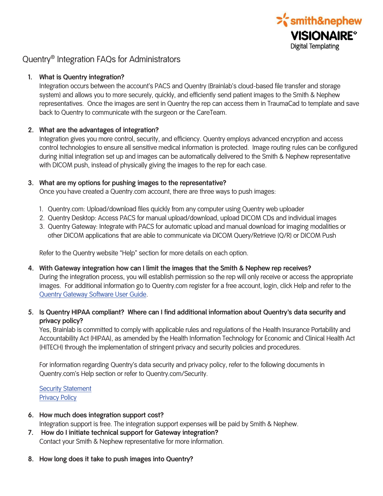

# Quentry® Integration FAQs for Administrators

#### **1. What is Quentry integration?**

Integration occurs between the account's PACS and Quentry (Brainlab's cloud-based file transfer and storage system) and allows you to more securely, quickly, and efficiently send patient images to the Smith & Nephew representatives. Once the images are sent in Quentry the rep can access them in TraumaCad to template and save back to Quentry to communicate with the surgeon or the CareTeam.

## **2. What are the advantages of integration?**

Integration gives you more control, security, and efficiency. Quentry employs advanced encryption and access control technologies to ensure all sensitive medical information is protected. Image routing rules can be configured during initial integration set up and images can be automatically delivered to the Smith & Nephew representative with DICOM push, instead of physically giving the images to the rep for each case.

## **3. What are my options for pushing images to the representative?**

Once you have created a Quentry.com account, there are three ways to push images:

- 1. Quentry.com: Upload/download files quickly from any computer using Quentry web uploader
- 2. Quentry Desktop: Access PACS for manual upload/download, upload DICOM CDs and individual images
- 3. Quentry Gateway: Integrate with PACS for automatic upload and manual download for imaging modalities or other DICOM applications that are able to communicate via DICOM Query/Retrieve (Q/R) or DICOM Push

Refer to the Quentry website "Help" section for more details on each option.

- **4. With Gateway integration how can I limit the images that the Smith & Nephew rep receives?**  During the integration process, you will establish permission so the rep will only receive or access the appropriate images. For additional information go to Quentry.com register for a free account, login, click Help and refer to the Quentry Gateway Software User Guide.
- **5. Is Quentry HIPAA compliant? Where can I find additional information about Quentry's data security and privacy policy?**

Yes, Brainlab is committed to comply with applicable rules and regulations of the Health Insurance Portability and Accountability Act (HIPAA), as amended by the Health Information Technology for Economic and Clinical Health Act (HITECH) through the implementation of stringent privacy and security policies and procedures.

For information regarding Quentry's data security and privacy policy, refer to the following documents in Quentry.com's Help section or refer to Quentry.com/Security.

**Security Statement** Privacy Policy

- **6. How much does integration support cost?**  Integration support is free. The integration support expenses will be paid by Smith & Nephew.
- **7. How do I initiate technical support for Gateway integration?**  Contact your Smith & Nephew representative for more information.
- **8. How long does it take to push images into Quentry?**